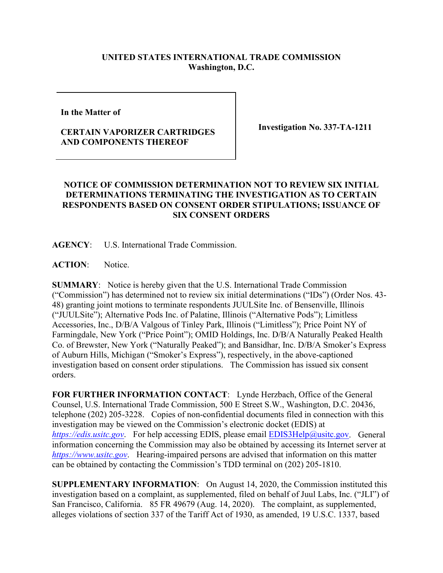## **UNITED STATES INTERNATIONAL TRADE COMMISSION Washington, D.C.**

**In the Matter of** 

## **CERTAIN VAPORIZER CARTRIDGES AND COMPONENTS THEREOF**

**Investigation No. 337-TA-1211**

## **NOTICE OF COMMISSION DETERMINATION NOT TO REVIEW SIX INITIAL DETERMINATIONS TERMINATING THE INVESTIGATION AS TO CERTAIN RESPONDENTS BASED ON CONSENT ORDER STIPULATIONS; ISSUANCE OF SIX CONSENT ORDERS**

**AGENCY**: U.S. International Trade Commission.

**ACTION**: Notice.

**SUMMARY**: Notice is hereby given that the U.S. International Trade Commission ("Commission") has determined not to review six initial determinations ("IDs") (Order Nos. 43- 48) granting joint motions to terminate respondents JUULSite Inc. of Bensenville, Illinois ("JUULSite"); Alternative Pods Inc. of Palatine, Illinois ("Alternative Pods"); Limitless Accessories, Inc., D/B/A Valgous of Tinley Park, Illinois ("Limitless"); Price Point NY of Farmingdale, New York ("Price Point"); OMID Holdings, Inc. D/B/A Naturally Peaked Health Co. of Brewster, New York ("Naturally Peaked"); and Bansidhar, Inc. D/B/A Smoker's Express of Auburn Hills, Michigan ("Smoker's Express"), respectively, in the above-captioned investigation based on consent order stipulations. The Commission has issued six consent orders.

**FOR FURTHER INFORMATION CONTACT**: Lynde Herzbach, Office of the General Counsel, U.S. International Trade Commission, 500 E Street S.W., Washington, D.C. 20436, telephone (202) 205-3228. Copies of non-confidential documents filed in connection with this investigation may be viewed on the Commission's electronic docket (EDIS) at *[https://edis.usitc.gov](https://edis.usitc.gov/).* For help accessing EDIS, please email [EDIS3Help@usitc.gov.](mailto:EDIS3Help@usitc.gov) General information concerning the Commission may also be obtained by accessing its Internet server at *[https://www.usitc.gov](https://www.usitc.gov/)*. Hearing-impaired persons are advised that information on this matter can be obtained by contacting the Commission's TDD terminal on (202) 205-1810.

**SUPPLEMENTARY INFORMATION**: On August 14, 2020, the Commission instituted this investigation based on a complaint, as supplemented, filed on behalf of Juul Labs, Inc. ("JLI") of San Francisco, California. 85 FR 49679 (Aug. 14, 2020). The complaint, as supplemented, alleges violations of section 337 of the Tariff Act of 1930, as amended, 19 U.S.C. 1337, based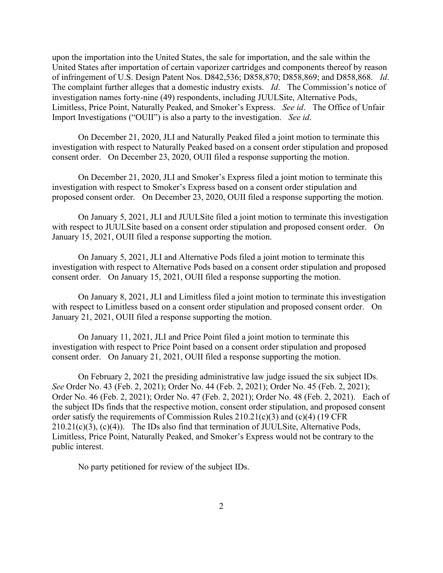upon the importation into the United States, the sale for importation, and the sale within the United States after importation of certain vaporizer cartridges and components thereof by reason of infringement of U.S. Design Patent Nos. D842,536; D858,870; D858,869; and D858,868. *Id*. The complaint further alleges that a domestic industry exists. *Id*. The Commission's notice of investigation names forty-nine (49) respondents, including JUULSite, Alternative Pods, Limitless, Price Point, Naturally Peaked, and Smoker's Express. *See id*. The Office of Unfair Import Investigations ("OUII") is also a party to the investigation. *See id*.

On December 21, 2020, JLI and Naturally Peaked filed a joint motion to terminate this investigation with respect to Naturally Peaked based on a consent order stipulation and proposed consent order. On December 23, 2020, OUII filed a response supporting the motion.

On December 21, 2020, JLI and Smoker's Express filed a joint motion to terminate this investigation with respect to Smoker's Express based on a consent order stipulation and proposed consent order. On December 23, 2020, OUII filed a response supporting the motion.

On January 5, 2021, JLI and JUULSite filed a joint motion to terminate this investigation with respect to JUULSite based on a consent order stipulation and proposed consent order. On January 15, 2021, OUII filed a response supporting the motion.

On January 5, 2021, JLI and Alternative Pods filed a joint motion to terminate this investigation with respect to Alternative Pods based on a consent order stipulation and proposed consent order. On January 15, 2021, OUII filed a response supporting the motion.

On January 8, 2021, JLI and Limitless filed a joint motion to terminate this investigation with respect to Limitless based on a consent order stipulation and proposed consent order. On January 21, 2021, OUII filed a response supporting the motion.

On January 11, 2021, JLI and Price Point filed a joint motion to terminate this investigation with respect to Price Point based on a consent order stipulation and proposed consent order. On January 21, 2021, OUII filed a response supporting the motion.

On February 2, 2021 the presiding administrative law judge issued the six subject IDs. *See* Order No. 43 (Feb. 2, 2021); Order No. 44 (Feb. 2, 2021); Order No. 45 (Feb. 2, 2021); Order No. 46 (Feb. 2, 2021); Order No. 47 (Feb. 2, 2021); Order No. 48 (Feb. 2, 2021). Each of the subject IDs finds that the respective motion, consent order stipulation, and proposed consent order satisfy the requirements of Commission Rules 210.21(c)(3) and (c)(4) (19 CFR  $210.21(c)(3)$ ,  $(c)(4)$ ). The IDs also find that termination of JUULSite, Alternative Pods, Limitless, Price Point, Naturally Peaked, and Smoker's Express would not be contrary to the public interest.

No party petitioned for review of the subject IDs.